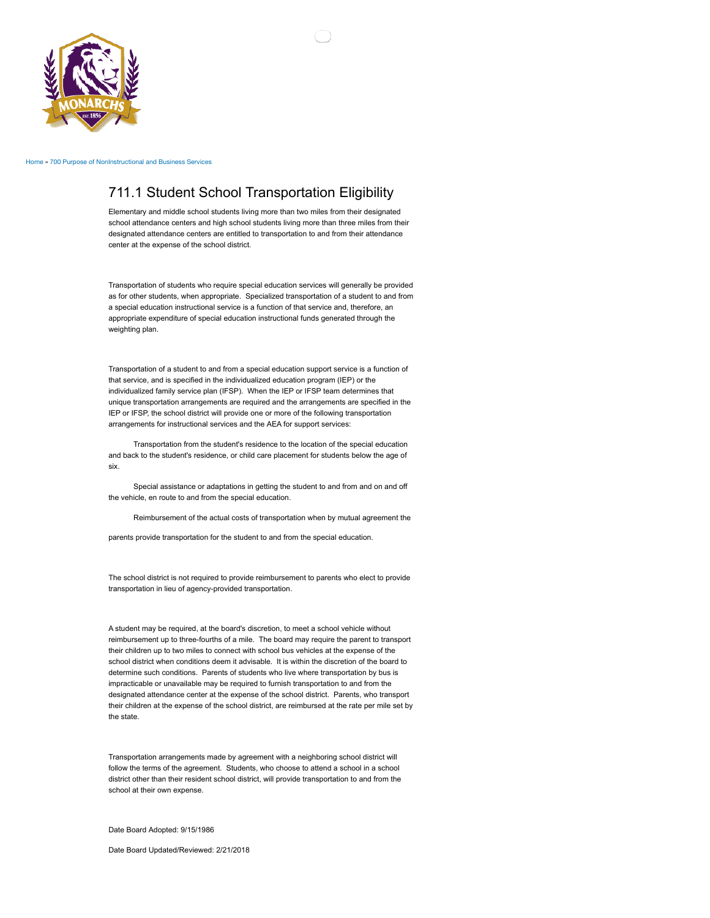

[Home](http://denisoncsd.isfis.net/) » [700 Purpose of NonInstructional and Business Services](http://denisoncsd.isfis.net/?q=content/700-purpose-noninstructional-and-business-services)

## 711.1 Student School Transportation Eligibility

Elementary and middle school students living more than two miles from their designated school attendance centers and high school students living more than three miles from their designated attendance centers are entitled to transportation to and from their attendance center at the expense of the school district.

Transportation of students who require special education services will generally be provided as for other students, when appropriate. Specialized transportation of a student to and from a special education instructional service is a function of that service and, therefore, an appropriate expenditure of special education instructional funds generated through the weighting plan.

Transportation of a student to and from a special education support service is a function of that service, and is specified in the individualized education program (IEP) or the individualized family service plan (IFSP). When the IEP or IFSP team determines that unique transportation arrangements are required and the arrangements are specified in the IEP or IFSP, the school district will provide one or more of the following transportation arrangements for instructional services and the AEA for support services:

 Transportation from the student's residence to the location of the special education and back to the student's residence, or child care placement for students below the age of six.

 Special assistance or adaptations in getting the student to and from and on and off the vehicle, en route to and from the special education.

Reimbursement of the actual costs of transportation when by mutual agreement the

parents provide transportation for the student to and from the special education.

The school district is not required to provide reimbursement to parents who elect to provide transportation in lieu of agency-provided transportation.

A student may be required, at the board's discretion, to meet a school vehicle without reimbursement up to three-fourths of a mile. The board may require the parent to transport their children up to two miles to connect with school bus vehicles at the expense of the school district when conditions deem it advisable. It is within the discretion of the board to determine such conditions. Parents of students who live where transportation by bus is impracticable or unavailable may be required to furnish transportation to and from the designated attendance center at the expense of the school district. Parents, who transport their children at the expense of the school district, are reimbursed at the rate per mile set by the state.

Transportation arrangements made by agreement with a neighboring school district will follow the terms of the agreement. Students, who choose to attend a school in a school district other than their resident school district, will provide transportation to and from the school at their own expense.

Date Board Adopted: 9/15/1986

Date Board Updated/Reviewed: 2/21/2018